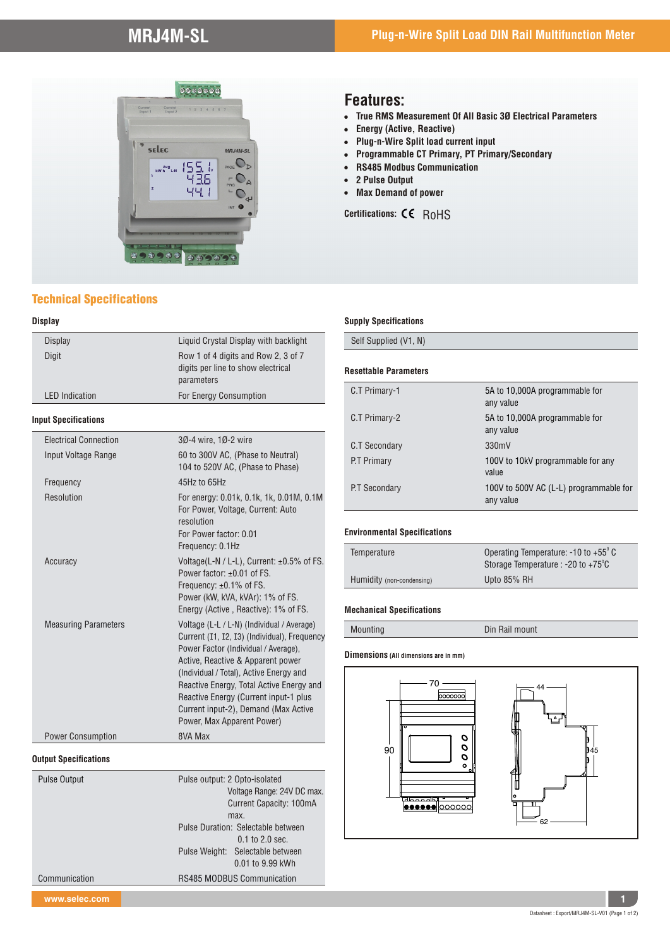

### Technical Specifications

### **Display**

| <b>Display</b>               | Liquid Crystal Display with backlight                                                                                                                                                                                                                                                                                                                                         |
|------------------------------|-------------------------------------------------------------------------------------------------------------------------------------------------------------------------------------------------------------------------------------------------------------------------------------------------------------------------------------------------------------------------------|
| <b>Digit</b>                 | Row 1 of 4 digits and Row 2, 3 of 7<br>digits per line to show electrical<br>parameters                                                                                                                                                                                                                                                                                       |
| <b>LED</b> Indication        | For Energy Consumption                                                                                                                                                                                                                                                                                                                                                        |
| <b>Input Specifications</b>  |                                                                                                                                                                                                                                                                                                                                                                               |
| <b>Electrical Connection</b> | 30-4 wire, 10-2 wire                                                                                                                                                                                                                                                                                                                                                          |
| Input Voltage Range          | 60 to 300V AC, (Phase to Neutral)<br>104 to 520V AC, (Phase to Phase)                                                                                                                                                                                                                                                                                                         |
| Frequency                    | 45Hz to 65Hz                                                                                                                                                                                                                                                                                                                                                                  |
| Resolution                   | For energy: 0.01k, 0.1k, 1k, 0.01M, 0.1M<br>For Power, Voltage, Current: Auto<br>resolution<br>For Power factor: 0.01<br>Frequency: 0.1Hz                                                                                                                                                                                                                                     |
| Accuracy                     | Voltage(L-N / L-L), Current: $\pm 0.5\%$ of FS.<br>Power factor: ±0.01 of FS.<br>Frequency: ±0.1% of FS.<br>Power (kW, kVA, kVAr): 1% of FS.<br>Energy (Active, Reactive): 1% of FS.                                                                                                                                                                                          |
| <b>Measuring Parameters</b>  | Voltage (L-L / L-N) (Individual / Average)<br>Current (I1, I2, I3) (Individual), Frequency<br>Power Factor (Individual / Average),<br>Active, Reactive & Apparent power<br>(Individual / Total), Active Energy and<br>Reactive Energy, Total Active Energy and<br>Reactive Energy (Current input-1 plus<br>Current input-2), Demand (Max Active<br>Power, Max Apparent Power) |
| <b>Power Consumption</b>     | 8VA Max                                                                                                                                                                                                                                                                                                                                                                       |

Pulse output: 2 Opto-isolated

 max. Pulse Duration: Selectable between

Pulse Weight: Selectable between

Communication RS485 MODBUS Communication

 Voltage Range: 24V DC max. Current Capacity: 100mA

0.1 to 2.0 sec.

0.01 to 9.99 kWh

# ! **True RMS Measurement Of All Basic 3Ø Electrical Parameters**

**Features:**

- **Energy (Active, Reactive)**<br>• Plug-n-Wire Split load cur ! **Plug-n-Wire Split load current input**
- ! **Programmable CT Primary, PT Primary/Secondary**
- ! **RS485 Modbus Communication**
- ! **2 Pulse Output**
- ! **Max Demand of power**

Certifications:  $CC$  RoHS

#### **Supply Specifications**

Self Supplied (V1, N)

### **Resettable Parameters**

| C.T Primary-1 | 5A to 10,000A programmable for<br>any value         |
|---------------|-----------------------------------------------------|
| C.T Primary-2 | 5A to 10,000A programmable for<br>any value         |
| C.T Secondary | 330mV                                               |
| P.T Primary   | 100V to 10kV programmable for any<br>value          |
| P.T Secondary | 100V to 500V AC (L-L) programmable for<br>any value |

#### **Environmental Specifications**

| Temperature               | Operating Temperature: $-10$ to $+55^{\circ}$ C<br>Storage Temperature : -20 to $+75^{\circ}$ C |  |
|---------------------------|-------------------------------------------------------------------------------------------------|--|
| Humidity (non-condensing) | Upto 85% RH                                                                                     |  |

#### **Mechanical Specifications**

Mounting Din Rail mount

#### **Dimensions (All dimensions are in mm)**



**Output Specifications**

Pulse Output

**www.selec.com 1**